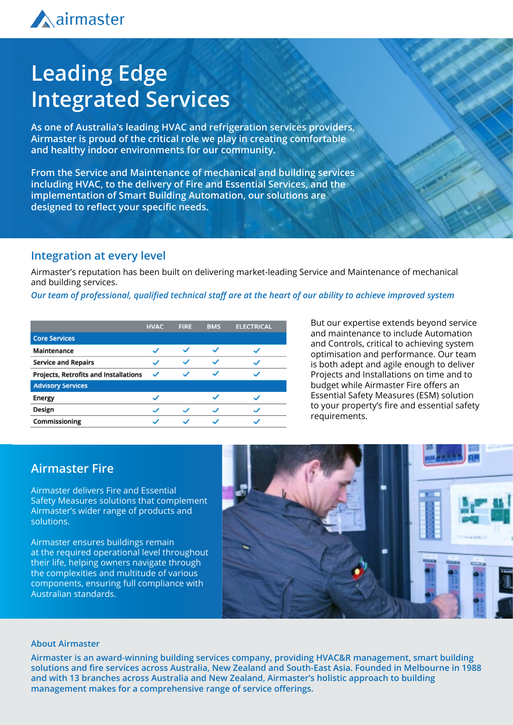

## **Leading Edge Integrated Services**

**As one of Australia's leading HVAC and refrigeration services providers, Airmaster is proud of the critical role we play in creating comfortable and healthy indoor environments for our community.**

**From the Service and Maintenance of mechanical and building services including HVAC, to the delivery of Fire and Essential Services, and the implementation of Smart Building Automation, our solutions are designed to reflect your specific needs.**

### **Integration at every level**

Airmaster's reputation has been built on delivering market-leading Service and Maintenance of mechanical and building services.

*Our team of professional, qualified technical staff are at the heart of our ability to achieve improved system* 

|                                       | <b>HVAC</b> | <b>FIRE</b> | <b>BMS</b>            | <b>ELECTRICAL</b> |
|---------------------------------------|-------------|-------------|-----------------------|-------------------|
| <b>Core Services</b>                  |             |             |                       |                   |
| Maintenance                           |             |             | w                     |                   |
| <b>Service and Repairs</b>            |             | ◡           | $\checkmark$          |                   |
| Projects, Retrofits and Installations | ✓           |             | ✓                     |                   |
| <b>Advisory Services</b>              |             |             |                       |                   |
| Energy                                |             |             | $\sim$                |                   |
| Design                                |             |             | $\tilde{\phantom{a}}$ |                   |
| Commissioning                         |             |             |                       |                   |

But our expertise extends beyond service and maintenance to include Automation and Controls, critical to achieving system optimisation and performance. Our team is both adept and agile enough to deliver Projects and Installations on time and to budget while Airmaster Fire offers an Essential Safety Measures (ESM) solution to your property's fire and essential safety requirements.

### **Airmaster Fire**

Airmaster delivers Fire and Essential Safety Measures solutions that complement Airmaster's wider range of products and solutions.

Airmaster ensures buildings remain at the required operational level throughout their life, helping owners navigate through the complexities and multitude of various components, ensuring full compliance with Australian standards.



#### **About Airmaster**

**Airmaster is an award-winning building services company, providing HVAC&R management, smart building solutions and fire services across Australia, New Zealand and South-East Asia. Founded in Melbourne in 1988 and with 13 branches across Australia and New Zealand, Airmaster's holistic approach to building management makes for a comprehensive range of service offerings.**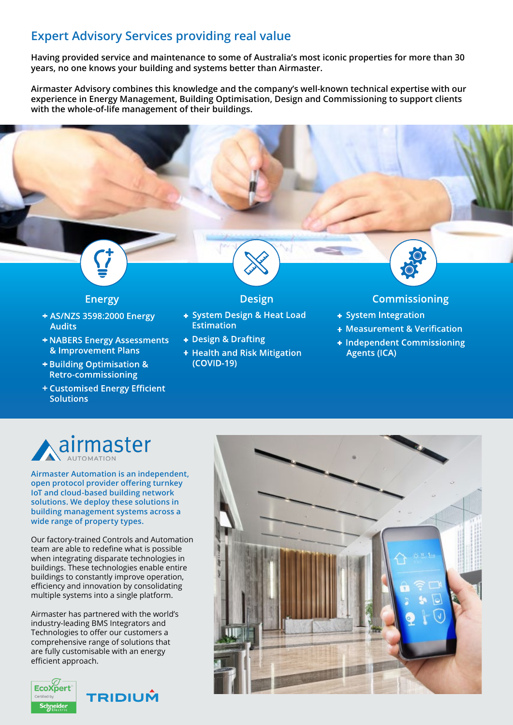### **Expert Advisory Services providing real value**

**Having provided service and maintenance to some of Australia's most iconic properties for more than 30 years, no one knows your building and systems better than Airmaster.**

**Airmaster Advisory combines this knowledge and the company's well-known technical expertise with our experience in Energy Management, Building Optimisation, Design and Commissioning to support clients with the whole-of-life management of their buildings.**

### **Energy**

- **+ AS/NZS 3598:2000 Energy Audits**
- **<b>+ NABERS Energy Assessments** & Improvement Plans
- **+ Building Optimisation & Retro-commissioning**
- **+ Customised Energy Efficient Solutions**

### **Design**

- **+ System Design & Heat Load** Estimation
- **+ Design & Drafting**
- **+ Health and Risk Mitigation** (COVID-19)

### **Commissioning**

- **+ System Integration**
- **+ Measurement & Verification**
- **+ Independent Commissioning Agents (ICA)**

# airmaster

**Airmaster Automation is an independent, open protocol provider offering turnkey IoT and cloud-based building network solutions. We deploy these solutions in building management systems across a wide range of property types.**

Our factory-trained Controls and Automation team are able to redefine what is possible when integrating disparate technologies in buildings. These technologies enable entire buildings to constantly improve operation, efficiency and innovation by consolidating multiple systems into a single platform.

Airmaster has partnered with the world's industry-leading BMS Integrators and Technologies to offer our customers a comprehensive range of solutions that are fully customisable with an energy efficient approach.